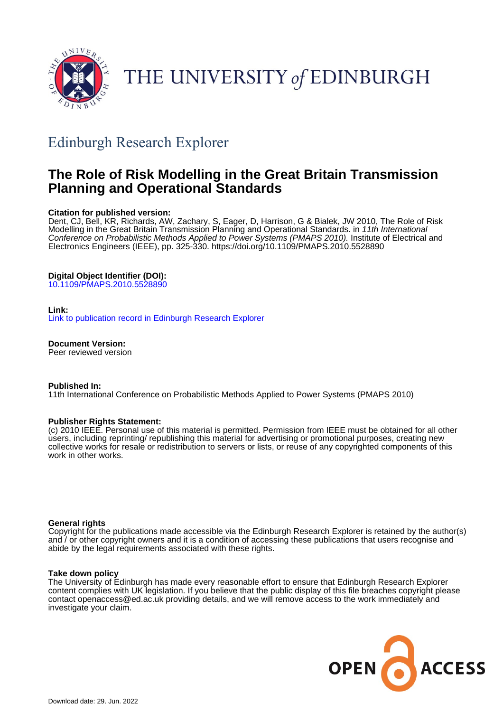

THE UNIVERSITY of EDINBURGH

# Edinburgh Research Explorer

## **The Role of Risk Modelling in the Great Britain Transmission Planning and Operational Standards**

## **Citation for published version:**

Dent, CJ, Bell, KR, Richards, AW, Zachary, S, Eager, D, Harrison, G & Bialek, JW 2010, The Role of Risk Modelling in the Great Britain Transmission Planning and Operational Standards. in 11th International Conference on Probabilistic Methods Applied to Power Systems (PMAPS 2010). Institute of Electrical and Electronics Engineers (IEEE), pp. 325-330.<https://doi.org/10.1109/PMAPS.2010.5528890>

## **Digital Object Identifier (DOI):**

[10.1109/PMAPS.2010.5528890](https://doi.org/10.1109/PMAPS.2010.5528890)

## **Link:**

[Link to publication record in Edinburgh Research Explorer](https://www.research.ed.ac.uk/en/publications/48cde598-f194-45a0-8a4c-2e64852c4df4)

**Document Version:** Peer reviewed version

## **Published In:**

11th International Conference on Probabilistic Methods Applied to Power Systems (PMAPS 2010)

## **Publisher Rights Statement:**

(c) 2010 IEEE. Personal use of this material is permitted. Permission from IEEE must be obtained for all other users, including reprinting/ republishing this material for advertising or promotional purposes, creating new collective works for resale or redistribution to servers or lists, or reuse of any copyrighted components of this work in other works.

## **General rights**

Copyright for the publications made accessible via the Edinburgh Research Explorer is retained by the author(s) and / or other copyright owners and it is a condition of accessing these publications that users recognise and abide by the legal requirements associated with these rights.

## **Take down policy**

The University of Edinburgh has made every reasonable effort to ensure that Edinburgh Research Explorer content complies with UK legislation. If you believe that the public display of this file breaches copyright please contact openaccess@ed.ac.uk providing details, and we will remove access to the work immediately and investigate your claim.

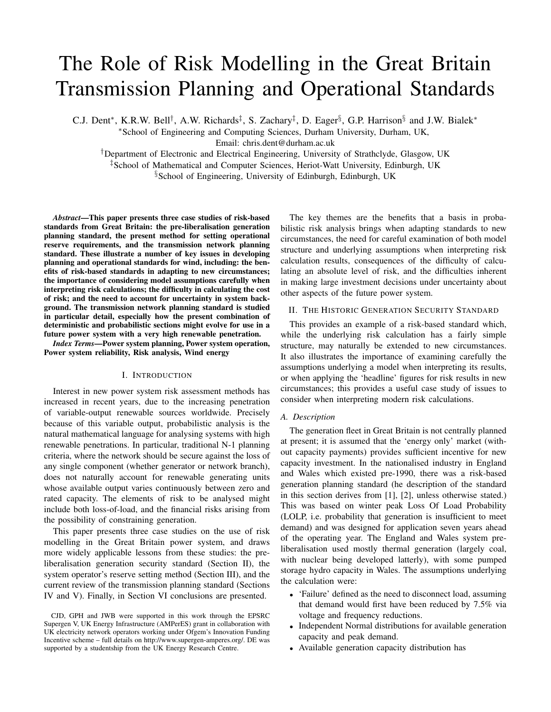# The Role of Risk Modelling in the Great Britain Transmission Planning and Operational Standards

C.J. Dent*∗* , K.R.W. Bell*†* , A.W. Richards*‡* , S. Zachary*‡* , D. Eager*§* , G.P. Harrison*§* and J.W. Bialek*∗*

*∗*School of Engineering and Computing Sciences, Durham University, Durham, UK,

Email: chris.dent@durham.ac.uk

*†*Department of Electronic and Electrical Engineering, University of Strathclyde, Glasgow, UK

*‡*School of Mathematical and Computer Sciences, Heriot-Watt University, Edinburgh, UK

*§*School of Engineering, University of Edinburgh, Edinburgh, UK

*Abstract*—This paper presents three case studies of risk-based standards from Great Britain: the pre-liberalisation generation planning standard, the present method for setting operational reserve requirements, and the transmission network planning standard. These illustrate a number of key issues in developing planning and operational standards for wind, including: the benefits of risk-based standards in adapting to new circumstances; the importance of considering model assumptions carefully when interpreting risk calculations; the difficulty in calculating the cost of risk; and the need to account for uncertainty in system background. The transmission network planning standard is studied in particular detail, especially how the present combination of deterministic and probabilistic sections might evolve for use in a future power system with a very high renewable penetration.

*Index Terms*—Power system planning, Power system operation, Power system reliability, Risk analysis, Wind energy

#### I. INTRODUCTION

Interest in new power system risk assessment methods has increased in recent years, due to the increasing penetration of variable-output renewable sources worldwide. Precisely because of this variable output, probabilistic analysis is the natural mathematical language for analysing systems with high renewable penetrations. In particular, traditional N-1 planning criteria, where the network should be secure against the loss of any single component (whether generator or network branch), does not naturally account for renewable generating units whose available output varies continuously between zero and rated capacity. The elements of risk to be analysed might include both loss-of-load, and the financial risks arising from the possibility of constraining generation.

This paper presents three case studies on the use of risk modelling in the Great Britain power system, and draws more widely applicable lessons from these studies: the preliberalisation generation security standard (Section II), the system operator's reserve setting method (Section III), and the current review of the transmission planning standard (Sections IV and V). Finally, in Section VI conclusions are presented.

The key themes are the benefits that a basis in probabilistic risk analysis brings when adapting standards to new circumstances, the need for careful examination of both model structure and underlying assumptions when interpreting risk calculation results, consequences of the difficulty of calculating an absolute level of risk, and the difficulties inherent in making large investment decisions under uncertainty about other aspects of the future power system.

#### II. THE HISTORIC GENERATION SECURITY STANDARD

This provides an example of a risk-based standard which, while the underlying risk calculation has a fairly simple structure, may naturally be extended to new circumstances. It also illustrates the importance of examining carefully the assumptions underlying a model when interpreting its results, or when applying the 'headline' figures for risk results in new circumstances; this provides a useful case study of issues to consider when interpreting modern risk calculations.

#### *A. Description*

The generation fleet in Great Britain is not centrally planned at present; it is assumed that the 'energy only' market (without capacity payments) provides sufficient incentive for new capacity investment. In the nationalised industry in England and Wales which existed pre-1990, there was a risk-based generation planning standard (he description of the standard in this section derives from [1], [2], unless otherwise stated.) This was based on winter peak Loss Of Load Probability (LOLP, i.e. probability that generation is insufficient to meet demand) and was designed for application seven years ahead of the operating year. The England and Wales system preliberalisation used mostly thermal generation (largely coal, with nuclear being developed latterly), with some pumped storage hydro capacity in Wales. The assumptions underlying the calculation were:

- *•* 'Failure' defined as the need to disconnect load, assuming that demand would first have been reduced by 7.5% via voltage and frequency reductions.
- Independent Normal distributions for available generation capacity and peak demand.
- *•* Available generation capacity distribution has

CJD, GPH and JWB were supported in this work through the EPSRC Supergen V, UK Energy Infrastructure (AMPerES) grant in collaboration with UK electricity network operators working under Ofgem's Innovation Funding Incentive scheme – full details on http://www.supergen-amperes.org/. DE was supported by a studentship from the UK Energy Research Centre.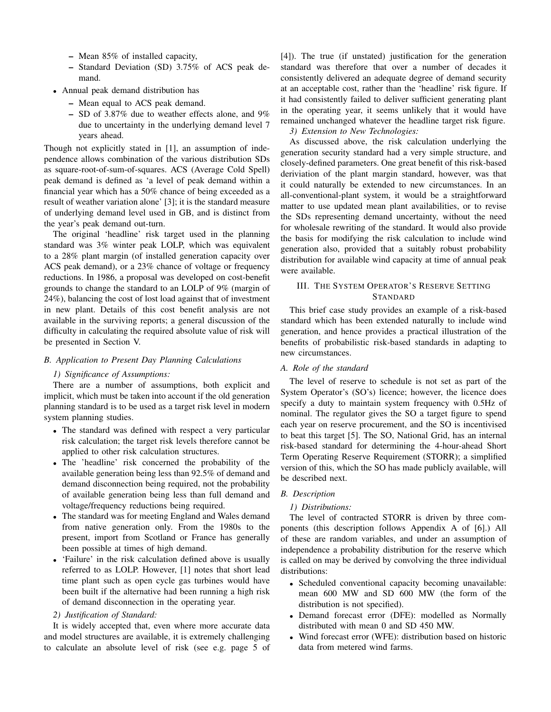- Mean 85% of installed capacity,
- Standard Deviation (SD) 3.75% of ACS peak demand.
- *•* Annual peak demand distribution has
	- Mean equal to ACS peak demand.
	- SD of 3.87% due to weather effects alone, and 9% due to uncertainty in the underlying demand level 7 years ahead.

Though not explicitly stated in [1], an assumption of independence allows combination of the various distribution SDs as square-root-of-sum-of-squares. ACS (Average Cold Spell) peak demand is defined as 'a level of peak demand within a financial year which has a 50% chance of being exceeded as a result of weather variation alone' [3]; it is the standard measure of underlying demand level used in GB, and is distinct from the year's peak demand out-turn.

The original 'headline' risk target used in the planning standard was 3% winter peak LOLP, which was equivalent to a 28% plant margin (of installed generation capacity over ACS peak demand), or a 23% chance of voltage or frequency reductions. In 1986, a proposal was developed on cost-benefit grounds to change the standard to an LOLP of 9% (margin of 24%), balancing the cost of lost load against that of investment in new plant. Details of this cost benefit analysis are not available in the surviving reports; a general discussion of the difficulty in calculating the required absolute value of risk will be presented in Section V.

## *B. Application to Present Day Planning Calculations*

#### *1) Significance of Assumptions:*

There are a number of assumptions, both explicit and implicit, which must be taken into account if the old generation planning standard is to be used as a target risk level in modern system planning studies.

- *•* The standard was defined with respect a very particular risk calculation; the target risk levels therefore cannot be applied to other risk calculation structures.
- The 'headline' risk concerned the probability of the available generation being less than 92.5% of demand and demand disconnection being required, not the probability of available generation being less than full demand and voltage/frequency reductions being required.
- *•* The standard was for meeting England and Wales demand from native generation only. From the 1980s to the present, import from Scotland or France has generally been possible at times of high demand.
- *•* 'Failure' in the risk calculation defined above is usually referred to as LOLP. However, [1] notes that short lead time plant such as open cycle gas turbines would have been built if the alternative had been running a high risk of demand disconnection in the operating year.

#### *2) Justification of Standard:*

It is widely accepted that, even where more accurate data and model structures are available, it is extremely challenging to calculate an absolute level of risk (see e.g. page 5 of [4]). The true (if unstated) justification for the generation standard was therefore that over a number of decades it consistently delivered an adequate degree of demand security at an acceptable cost, rather than the 'headline' risk figure. If it had consistently failed to deliver sufficient generating plant in the operating year, it seems unlikely that it would have remained unchanged whatever the headline target risk figure.

*3) Extension to New Technologies:*

As discussed above, the risk calculation underlying the generation security standard had a very simple structure, and closely-defined parameters. One great benefit of this risk-based deriviation of the plant margin standard, however, was that it could naturally be extended to new circumstances. In an all-conventional-plant system, it would be a straightforward matter to use updated mean plant availabilities, or to revise the SDs representing demand uncertainty, without the need for wholesale rewriting of the standard. It would also provide the basis for modifying the risk calculation to include wind generation also, provided that a suitably robust probability distribution for available wind capacity at time of annual peak were available.

## III. THE SYSTEM OPERATOR'S RESERVE SETTING **STANDARD**

This brief case study provides an example of a risk-based standard which has been extended naturally to include wind generation, and hence provides a practical illustration of the benefits of probabilistic risk-based standards in adapting to new circumstances.

#### *A. Role of the standard*

The level of reserve to schedule is not set as part of the System Operator's (SO's) licence; however, the licence does specify a duty to maintain system frequency with 0.5Hz of nominal. The regulator gives the SO a target figure to spend each year on reserve procurement, and the SO is incentivised to beat this target [5]. The SO, National Grid, has an internal risk-based standard for determining the 4-hour-ahead Short Term Operating Reserve Requirement (STORR); a simplified version of this, which the SO has made publicly available, will be described next.

#### *B. Description*

#### *1) Distributions:*

The level of contracted STORR is driven by three components (this description follows Appendix A of [6].) All of these are random variables, and under an assumption of independence a probability distribution for the reserve which is called on may be derived by convolving the three individual distributions:

- *•* Scheduled conventional capacity becoming unavailable: mean 600 MW and SD 600 MW (the form of the distribution is not specified).
- *•* Demand forecast error (DFE): modelled as Normally distributed with mean 0 and SD 450 MW.
- Wind forecast error (WFE): distribution based on historic data from metered wind farms.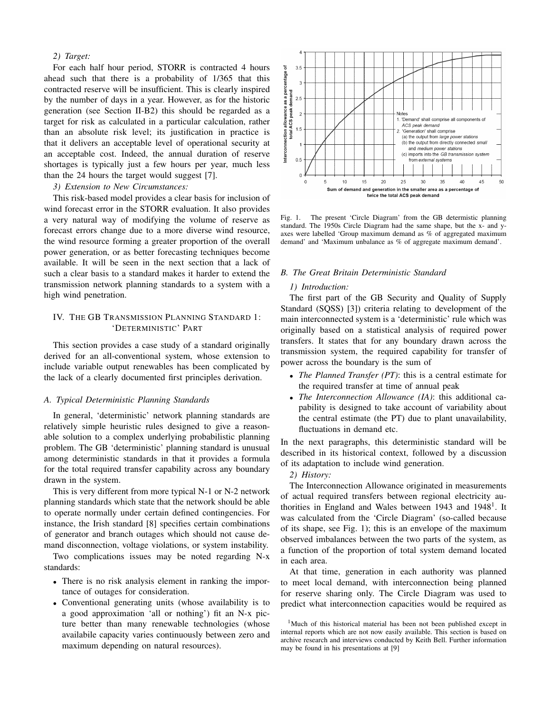#### *2) Target:*

For each half hour period, STORR is contracted 4 hours ahead such that there is a probability of 1/365 that this contracted reserve will be insufficient. This is clearly inspired by the number of days in a year. However, as for the historic generation (see Section II-B2) this should be regarded as a target for risk as calculated in a particular calculation, rather than an absolute risk level; its justification in practice is that it delivers an acceptable level of operational security at an acceptable cost. Indeed, the annual duration of reserve shortages is typically just a few hours per year, much less than the 24 hours the target would suggest [7].

#### *3) Extension to New Circumstances:*

This risk-based model provides a clear basis for inclusion of wind forecast error in the STORR evaluation. It also provides a very natural way of modifying the volume of reserve as forecast errors change due to a more diverse wind resource, the wind resource forming a greater proportion of the overall power generation, or as better forecasting techniques become available. It will be seen in the next section that a lack of such a clear basis to a standard makes it harder to extend the transmission network planning standards to a system with a high wind penetration.

#### IV. THE GB TRANSMISSION PLANNING STANDARD 1: 'DETERMINISTIC' PART

This section provides a case study of a standard originally derived for an all-conventional system, whose extension to include variable output renewables has been complicated by the lack of a clearly documented first principles derivation.

#### *A. Typical Deterministic Planning Standards*

In general, 'deterministic' network planning standards are relatively simple heuristic rules designed to give a reasonable solution to a complex underlying probabilistic planning problem. The GB 'deterministic' planning standard is unusual among deterministic standards in that it provides a formula for the total required transfer capability across any boundary drawn in the system.

This is very different from more typical N-1 or N-2 network planning standards which state that the network should be able to operate normally under certain defined contingencies. For instance, the Irish standard [8] specifies certain combinations of generator and branch outages which should not cause demand disconnection, voltage violations, or system instability.

Two complications issues may be noted regarding N-x standards:

- *•* There is no risk analysis element in ranking the importance of outages for consideration.
- *•* Conventional generating units (whose availability is to a good approximation 'all or nothing') fit an N-x picture better than many renewable technologies (whose availabile capacity varies continuously between zero and maximum depending on natural resources).



Fig. 1. The present 'Circle Diagram' from the GB determistic planning standard. The 1950s Circle Diagram had the same shape, but the x- and yaxes were labelled 'Group maximum demand as % of aggregated maximum demand' and 'Maximum unbalance as % of aggregate maximum demand'.

#### *B. The Great Britain Deterministic Standard*

#### *1) Introduction:*

The first part of the GB Security and Quality of Supply Standard (SQSS) [3]) criteria relating to development of the main interconnected system is a 'deterministic' rule which was originally based on a statistical analysis of required power transfers. It states that for any boundary drawn across the transmission system, the required capability for transfer of power across the boundary is the sum of

- *• The Planned Transfer (PT)*: this is a central estimate for the required transfer at time of annual peak
- *• The Interconnection Allowance (IA)*: this additional capability is designed to take account of variability about the central estimate (the PT) due to plant unavailability, fluctuations in demand etc.

In the next paragraphs, this deterministic standard will be described in its historical context, followed by a discussion of its adaptation to include wind generation.

## *2) History:*

The Interconnection Allowance originated in measurements of actual required transfers between regional electricity authorities in England and Wales between 1943 and 1948<sup>1</sup>. It was calculated from the 'Circle Diagram' (so-called because of its shape, see Fig. 1); this is an envelope of the maximum observed imbalances between the two parts of the system, as a function of the proportion of total system demand located in each area.

At that time, generation in each authority was planned to meet local demand, with interconnection being planned for reserve sharing only. The Circle Diagram was used to predict what interconnection capacities would be required as

<sup>&</sup>lt;sup>1</sup>Much of this historical material has been not been published except in internal reports which are not now easily available. This section is based on archive research and interviews conducted by Keith Bell. Further information may be found in his presentations at [9]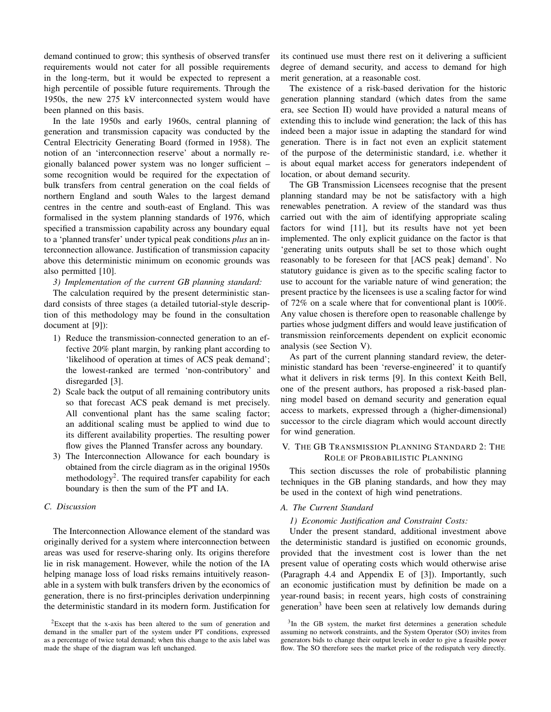demand continued to grow; this synthesis of observed transfer requirements would not cater for all possible requirements in the long-term, but it would be expected to represent a high percentile of possible future requirements. Through the 1950s, the new 275 kV interconnected system would have been planned on this basis.

In the late 1950s and early 1960s, central planning of generation and transmission capacity was conducted by the Central Electricity Generating Board (formed in 1958). The notion of an 'interconnection reserve' about a normally regionally balanced power system was no longer sufficient – some recognition would be required for the expectation of bulk transfers from central generation on the coal fields of northern England and south Wales to the largest demand centres in the centre and south-east of England. This was formalised in the system planning standards of 1976, which specified a transmission capability across any boundary equal to a 'planned transfer' under typical peak conditions *plus* an interconnection allowance. Justification of transmission capacity above this deterministic minimum on economic grounds was also permitted [10].

## *3) Implementation of the current GB planning standard:*

The calculation required by the present deterministic standard consists of three stages (a detailed tutorial-style description of this methodology may be found in the consultation document at [9]):

- 1) Reduce the transmission-connected generation to an effective 20% plant margin, by ranking plant according to 'likelihood of operation at times of ACS peak demand'; the lowest-ranked are termed 'non-contributory' and disregarded [3].
- 2) Scale back the output of all remaining contributory units so that forecast ACS peak demand is met precisely. All conventional plant has the same scaling factor; an additional scaling must be applied to wind due to its different availability properties. The resulting power flow gives the Planned Transfer across any boundary.
- 3) The Interconnection Allowance for each boundary is obtained from the circle diagram as in the original 1950s methodology<sup>2</sup>. The required transfer capability for each boundary is then the sum of the PT and IA.

## *C. Discussion*

The Interconnection Allowance element of the standard was originally derived for a system where interconnection between areas was used for reserve-sharing only. Its origins therefore lie in risk management. However, while the notion of the IA helping manage loss of load risks remains intuitively reasonable in a system with bulk transfers driven by the economics of generation, there is no first-principles derivation underpinning the deterministic standard in its modern form. Justification for its continued use must there rest on it delivering a sufficient degree of demand security, and access to demand for high merit generation, at a reasonable cost.

The existence of a risk-based derivation for the historic generation planning standard (which dates from the same era, see Section II) would have provided a natural means of extending this to include wind generation; the lack of this has indeed been a major issue in adapting the standard for wind generation. There is in fact not even an explicit statement of the purpose of the deterministic standard, i.e. whether it is about equal market access for generators independent of location, or about demand security.

The GB Transmission Licensees recognise that the present planning standard may be not be satisfactory with a high renewables penetration. A review of the standard was thus carried out with the aim of identifying appropriate scaling factors for wind [11], but its results have not yet been implemented. The only explicit guidance on the factor is that 'generating units outputs shall be set to those which ought reasonably to be foreseen for that [ACS peak] demand'. No statutory guidance is given as to the specific scaling factor to use to account for the variable nature of wind generation; the present practice by the licensees is use a scaling factor for wind of 72% on a scale where that for conventional plant is 100%. Any value chosen is therefore open to reasonable challenge by parties whose judgment differs and would leave justification of transmission reinforcements dependent on explicit economic analysis (see Section V).

As part of the current planning standard review, the deterministic standard has been 'reverse-engineered' it to quantify what it delivers in risk terms [9]. In this context Keith Bell, one of the present authors, has proposed a risk-based planning model based on demand security and generation equal access to markets, expressed through a (higher-dimensional) successor to the circle diagram which would account directly for wind generation.

## V. THE GB TRANSMISSION PLANNING STANDARD 2: THE ROLE OF PROBABILISTIC PLANNING

This section discusses the role of probabilistic planning techniques in the GB planing standards, and how they may be used in the context of high wind penetrations.

#### *A. The Current Standard*

#### *1) Economic Justification and Constraint Costs:*

Under the present standard, additional investment above the deterministic standard is justified on economic grounds, provided that the investment cost is lower than the net present value of operating costs which would otherwise arise (Paragraph 4.4 and Appendix E of [3]). Importantly, such an economic justification must by definition be made on a year-round basis; in recent years, high costs of constraining generation<sup>3</sup> have been seen at relatively low demands during

 $2$ Except that the x-axis has been altered to the sum of generation and demand in the smaller part of the system under PT conditions, expressed as a percentage of twice total demand; when this change to the axis label was made the shape of the diagram was left unchanged.

 $3$ In the GB system, the market first determines a generation schedule assuming no network constraints, and the System Operator (SO) invites from generators bids to change their output levels in order to give a feasible power flow. The SO therefore sees the market price of the redispatch very directly.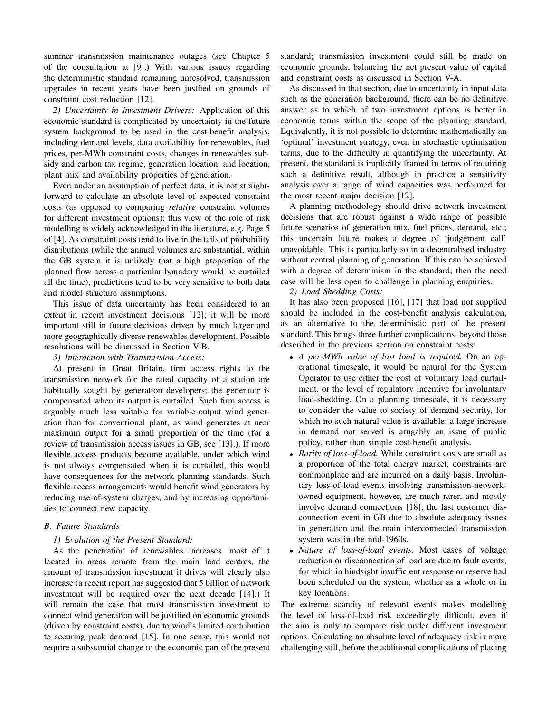summer transmission maintenance outages (see Chapter 5 of the consultation at [9].) With various issues regarding the deterministic standard remaining unresolved, transmission upgrades in recent years have been justfied on grounds of constraint cost reduction [12].

*2) Uncertainty in Investment Drivers:* Application of this economic standard is complicated by uncertainty in the future system background to be used in the cost-benefit analysis, including demand levels, data availability for renewables, fuel prices, per-MWh constraint costs, changes in renewables subsidy and carbon tax regime, generation location, and location, plant mix and availability properties of generation.

Even under an assumption of perfect data, it is not straightforward to calculate an absolute level of expected constraint costs (as opposed to comparing *relative* constraint volumes for different investment options); this view of the role of risk modelling is widely acknowledged in the literature, e.g. Page 5 of [4]. As constraint costs tend to live in the tails of probability distributions (while the annual volumes are substantial, within the GB system it is unlikely that a high proportion of the planned flow across a particular boundary would be curtailed all the time), predictions tend to be very sensitive to both data and model structure assumptions.

This issue of data uncertainty has been considered to an extent in recent investment decisions [12]; it will be more important still in future decisions driven by much larger and more geographically diverse renewables development. Possible resolutions will be discussed in Section V-B.

*3) Interaction with Transmission Access:*

At present in Great Britain, firm access rights to the transmission network for the rated capacity of a station are habitually sought by generation developers; the generator is compensated when its output is curtailed. Such firm access is arguably much less suitable for variable-output wind generation than for conventional plant, as wind generates at near maximum output for a small proportion of the time (for a review of transmission access issues in GB, see [13].). If more flexible access products become available, under which wind is not always compensated when it is curtailed, this would have consequences for the network planning standards. Such flexible access arrangements would benefit wind generators by reducing use-of-system charges, and by increasing opportunities to connect new capacity.

## *B. Future Standards*

#### *1) Evolution of the Present Standard:*

As the penetration of renewables increases, most of it located in areas remote from the main load centres, the amount of transmission investment it drives will clearly also increase (a recent report has suggested that 5 billion of network investment will be required over the next decade [14].) It will remain the case that most transmission investment to connect wind generation will be justified on economic grounds (driven by constraint costs), due to wind's limited contribution to securing peak demand [15]. In one sense, this would not require a substantial change to the economic part of the present

standard; transmission investment could still be made on economic grounds, balancing the net present value of capital and constraint costs as discussed in Section V-A.

As discussed in that section, due to uncertainty in input data such as the generation background, there can be no definitive answer as to which of two investment options is better in economic terms within the scope of the planning standard. Equivalently, it is not possible to determine mathematically an 'optimal' investment strategy, even in stochastic optimisation terms, due to the difficulty in quantifying the uncertainty. At present, the standard is implicitly framed in terms of requiring such a definitive result, although in practice a sensitivity analysis over a range of wind capacities was performed for the most recent major decision [12].

A planning methodology should drive network investment decisions that are robust against a wide range of possible future scenarios of generation mix, fuel prices, demand, etc.; this uncertain future makes a degree of 'judgement call' unavoidable. This is particularly so in a decentralised industry without central planning of generation. If this can be achieved with a degree of determinism in the standard, then the need case will be less open to challenge in planning enquiries.

*2) Load Shedding Costs:*

It has also been proposed [16], [17] that load not supplied should be included in the cost-benefit analysis calculation, as an alternative to the deterministic part of the present standard. This brings three further complications, beyond those described in the previous section on constraint costs:

- *• A per-MWh value of lost load is required.* On an operational timescale, it would be natural for the System Operator to use either the cost of voluntary load curtailment, or the level of regulatory incentive for involuntary load-shedding. On a planning timescale, it is necessary to consider the value to society of demand security, for which no such natural value is available; a large increase in demand not served is arugably an issue of public policy, rather than simple cost-benefit analysis.
- *• Rarity of loss-of-load.* While constraint costs are small as a proportion of the total energy market, constraints are commonplace and are incurred on a daily basis. Involuntary loss-of-load events involving transmission-networkowned equipment, however, are much rarer, and mostly involve demand connections [18]; the last customer disconnection event in GB due to absolute adequacy issues in generation and the main interconnected transmission system was in the mid-1960s.
- *• Nature of loss-of-load events.* Most cases of voltage reduction or disconnection of load are due to fault events, for which in hindsight insufficient response or reserve had been scheduled on the system, whether as a whole or in key locations.

The extreme scarcity of relevant events makes modelling the level of loss-of-load risk exceedingly difficult, even if the aim is only to compare risk under different investment options. Calculating an absolute level of adequacy risk is more challenging still, before the additional complications of placing